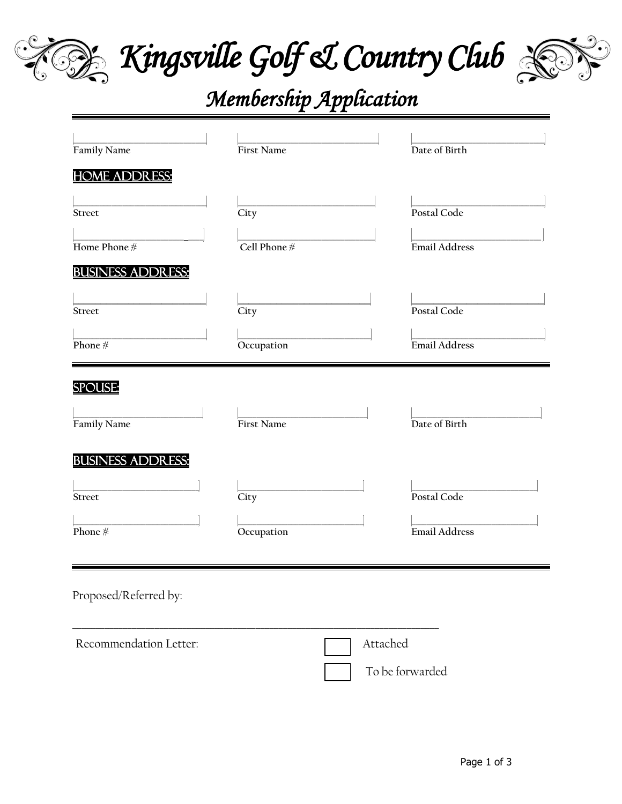

Kingsville Golf & Country Club



# Membership Application

| Family Name              | <b>First Name</b> | Date of Birth        |
|--------------------------|-------------------|----------------------|
| <u>HOME ADDRESS:</u>     |                   |                      |
|                          |                   |                      |
| <b>Street</b>            | City              | Postal Code          |
| Home Phone #             | Cell Phone $\#$   | <b>Email Address</b> |
|                          |                   |                      |
| <b>BUSINESS ADDRESS:</b> |                   |                      |
| <b>Street</b>            | City              | Postal Code          |
|                          |                   |                      |
| Phone $#$                | Occupation        | Email Address        |
|                          |                   |                      |
| <b>SPOUSE:</b>           |                   |                      |
|                          |                   |                      |
| Family Name              | First Name        | Date of Birth        |
| <u>BUSINESS ADDRESS:</u> |                   |                      |
|                          |                   |                      |
| Street                   | City              | Postal Code          |
|                          |                   |                      |
| Phone $#$                | Occupation        | Email Address        |
|                          |                   |                      |
| Proposed/Referred by:    |                   |                      |
|                          |                   |                      |
|                          |                   |                      |
| Recommendation Letter:   |                   | Attached             |

To be forwarded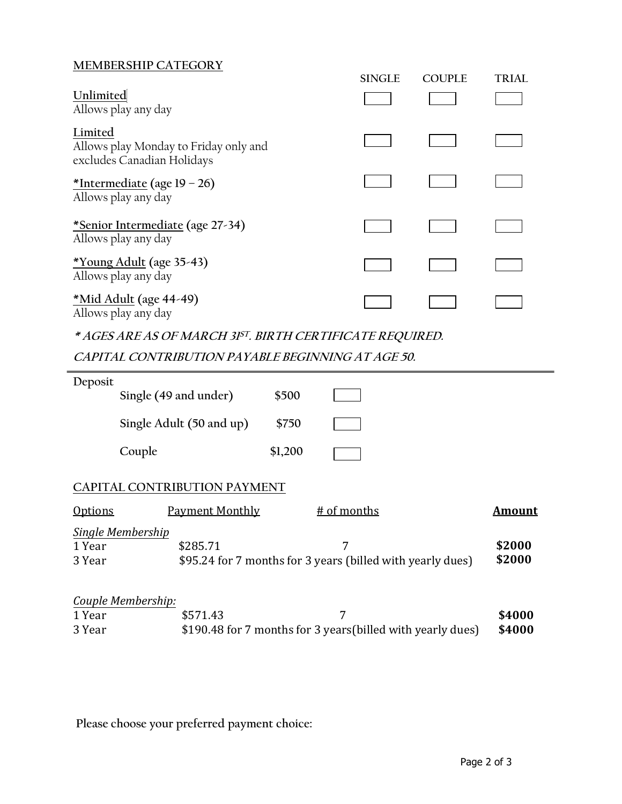# **MEMBERSHIP CATEGORY**

|                                                                                | <b>SINGLE</b> | <b>COUPLE</b> | <b>TRIAL</b> |
|--------------------------------------------------------------------------------|---------------|---------------|--------------|
| Unlimited<br>Allows play any day                                               |               |               |              |
| Limited<br>Allows play Monday to Friday only and<br>excludes Canadian Holidays |               |               |              |
| *Intermediate (age $19 - 26$ )<br>Allows play any day                          |               |               |              |
| *Senior Intermediate (age 27-34)<br>Allows play any day                        |               |               |              |
| *Young Adult (age 35-43)<br>Allows play any day                                |               |               |              |
| <u>*Mid Adult</u> (age 44-49)<br>Allows play any day                           |               |               |              |

## **\* AGES ARE AS OF MARCH 31 ST. BIRTH CERTIFICATE REQUIRED.**

**CAPITAL CONTRIBUTION PAYABLE BEGINNING AT AGE 50.**

| Deposit        |                                                                      |                                     |         |                                                             |               |
|----------------|----------------------------------------------------------------------|-------------------------------------|---------|-------------------------------------------------------------|---------------|
|                | Single (49 and under)                                                |                                     | \$500   |                                                             |               |
|                |                                                                      | Single Adult (50 and up)            | \$750   |                                                             |               |
|                | Couple                                                               |                                     | \$1,200 |                                                             |               |
|                |                                                                      | <b>CAPITAL CONTRIBUTION PAYMENT</b> |         |                                                             |               |
| <b>Options</b> |                                                                      | <b>Payment Monthly</b>              |         | # of months                                                 | <u>Amount</u> |
|                | Single Membership                                                    |                                     |         |                                                             |               |
| 1 Year         |                                                                      | \$285.71                            |         | 7                                                           | \$2000        |
| 3 Year         | \$2000<br>\$95.24 for 7 months for 3 years (billed with yearly dues) |                                     |         |                                                             |               |
|                | Couple Membership:                                                   |                                     |         |                                                             |               |
| 1 Year         |                                                                      | \$571.43                            |         | 7                                                           | \$4000        |
| 3 Year         |                                                                      |                                     |         | \$190.48 for 7 months for 3 years (billed with yearly dues) | \$4000        |

**Please choose your preferred payment choice:**